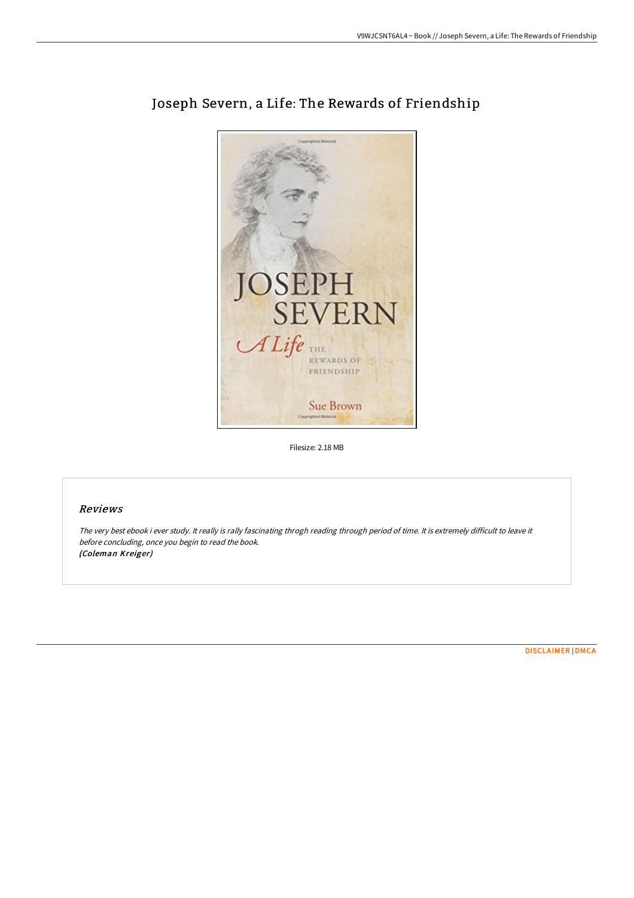

# Joseph Severn, a Life: The Rewards of Friendship

Filesize: 2.18 MB

# Reviews

The very best ebook i ever study. It really is rally fascinating throgh reading through period of time. It is extremely difficult to leave it before concluding, once you begin to read the book. (Coleman Kreiger)

[DISCLAIMER](http://bookera.tech/disclaimer.html) | [DMCA](http://bookera.tech/dmca.html)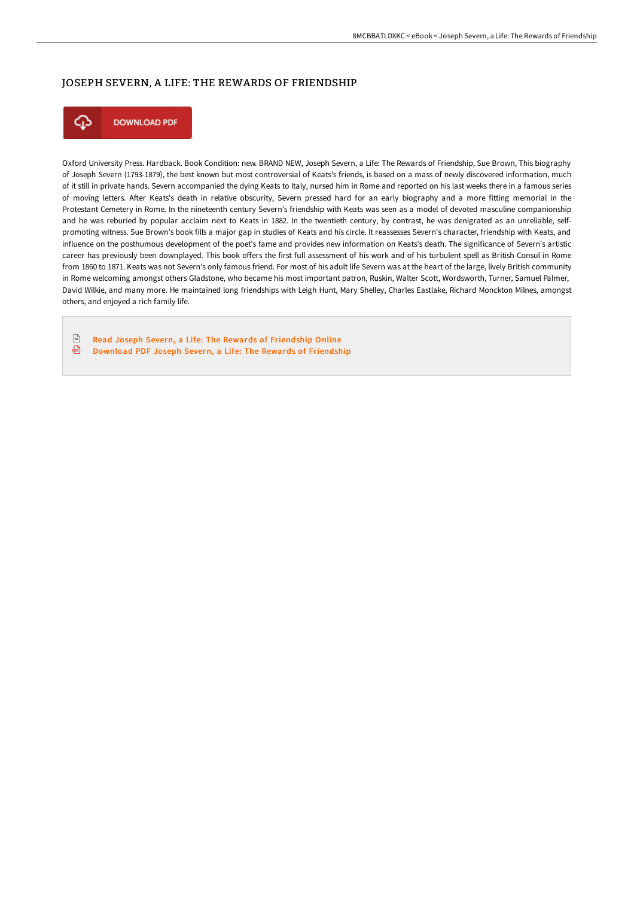## JOSEPH SEVERN, A LIFE: THE REWARDS OF FRIENDSHIP



Oxford University Press. Hardback. Book Condition: new. BRAND NEW, Joseph Severn, a Life: The Rewards of Friendship, Sue Brown, This biography of Joseph Severn (1793-1879), the best known but most controversial of Keats's friends, is based on a mass of newly discovered information, much of it still in private hands. Severn accompanied the dying Keats to Italy, nursed him in Rome and reported on his last weeks there in a famous series of moving letters. After Keats's death in relative obscurity, Severn pressed hard for an early biography and a more fitting memorial in the Protestant Cemetery in Rome. In the nineteenth century Severn's friendship with Keats was seen as a model of devoted masculine companionship and he was reburied by popular acclaim next to Keats in 1882. In the twentieth century, by contrast, he was denigrated as an unreliable, selfpromoting witness. Sue Brown's book fills a major gap in studies of Keats and his circle. It reassesses Severn's character, friendship with Keats, and influence on the posthumous development of the poet's fame and provides new information on Keats's death. The significance of Severn's artistic career has previously been downplayed. This book offers the first full assessment of his work and of his turbulent spell as British Consul in Rome from 1860 to 1871. Keats was not Severn's only famous friend. For most of his adult life Severn was at the heart of the large, lively British community in Rome welcoming amongst others Gladstone, who became his most important patron, Ruskin, Walter Scott, Wordsworth, Turner, Samuel Palmer, David Wilkie, and many more. He maintained long friendships with Leigh Hunt, Mary Shelley, Charles Eastlake, Richard Monckton Milnes, amongst others, and enjoyed a rich family life.

 $\sqrt{\frac{1}{n+1}}$ Read Joseph Severn, a Life: The Rewards of [Friendship](http://bookera.tech/joseph-severn-a-life-the-rewards-of-friendship.html) Online ⊕ Download PDF Joseph Severn, a Life: The Rewards of [Friendship](http://bookera.tech/joseph-severn-a-life-the-rewards-of-friendship.html)